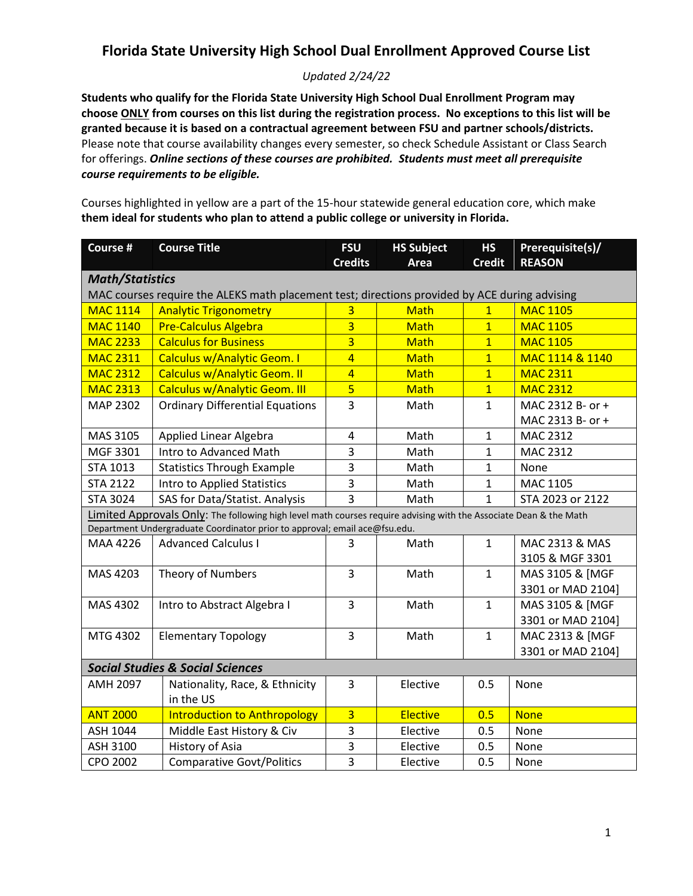#### *Updated 2/24/22*

**Students who qualify for the Florida State University High School Dual Enrollment Program may choose ONLY from courses on this list during the registration process. No exceptions to this list will be granted because it is based on a contractual agreement between FSU and partner schools/districts.** Please note that course availability changes every semester, so check Schedule Assistant or Class Search for offerings. *Online sections of these courses are prohibited. Students must meet all prerequisite course requirements to be eligible.*

Courses highlighted in yellow are a part of the 15-hour statewide general education core, which make **them ideal for students who plan to attend a public college or university in Florida.**

| Course #                                                                                                                | <b>Course Title</b>                         | <b>FSU</b><br><b>Credits</b> | <b>HS Subject</b><br>Area | <b>HS</b><br><b>Credit</b> | Prerequisite(s)/<br><b>REASON</b> |  |
|-------------------------------------------------------------------------------------------------------------------------|---------------------------------------------|------------------------------|---------------------------|----------------------------|-----------------------------------|--|
|                                                                                                                         |                                             |                              |                           |                            |                                   |  |
| <b>Math/Statistics</b><br>MAC courses require the ALEKS math placement test; directions provided by ACE during advising |                                             |                              |                           |                            |                                   |  |
| <b>MAC 1114</b>                                                                                                         | <b>Analytic Trigonometry</b>                | 3                            | <b>Math</b>               | $\mathbf{1}$               | <b>MAC 1105</b>                   |  |
| <b>MAC 1140</b>                                                                                                         | <b>Pre-Calculus Algebra</b>                 | $\overline{3}$               | <b>Math</b>               | $\overline{1}$             | <b>MAC 1105</b>                   |  |
| <b>MAC 2233</b>                                                                                                         | <b>Calculus for Business</b>                | $\overline{3}$               | <b>Math</b>               | $\overline{1}$             | <b>MAC 1105</b>                   |  |
| <b>MAC 2311</b>                                                                                                         | <b>Calculus w/Analytic Geom. I</b>          | $\overline{4}$               | <b>Math</b>               | $\overline{1}$             | MAC 1114 & 1140                   |  |
| <b>MAC 2312</b>                                                                                                         | <b>Calculus w/Analytic Geom. II</b>         | $\overline{4}$               | <b>Math</b>               | $\overline{1}$             | <b>MAC 2311</b>                   |  |
| <b>MAC 2313</b>                                                                                                         | <b>Calculus w/Analytic Geom. III</b>        | $\overline{5}$               | <b>Math</b>               | $\overline{1}$             | <b>MAC 2312</b>                   |  |
| MAP 2302                                                                                                                | <b>Ordinary Differential Equations</b>      | 3                            | Math                      | $\mathbf{1}$               | MAC 2312 B- or +                  |  |
|                                                                                                                         |                                             |                              |                           |                            | MAC 2313 B- or +                  |  |
| MAS 3105                                                                                                                | Applied Linear Algebra                      | 4                            | Math                      | $\mathbf{1}$               | MAC 2312                          |  |
| MGF 3301                                                                                                                | Intro to Advanced Math                      | 3                            | Math                      | $\mathbf{1}$               | MAC 2312                          |  |
| STA 1013                                                                                                                | <b>Statistics Through Example</b>           | 3                            | Math                      | $\mathbf{1}$               | None                              |  |
| <b>STA 2122</b>                                                                                                         | <b>Intro to Applied Statistics</b>          | 3                            | Math                      | $\mathbf{1}$               | MAC 1105                          |  |
| <b>STA 3024</b>                                                                                                         | SAS for Data/Statist. Analysis              | 3                            | Math                      | $\mathbf 1$                | STA 2023 or 2122                  |  |
| Limited Approvals Only: The following high level math courses require advising with the Associate Dean & the Math       |                                             |                              |                           |                            |                                   |  |
| Department Undergraduate Coordinator prior to approval; email ace@fsu.edu.                                              |                                             |                              |                           |                            |                                   |  |
| MAA 4226                                                                                                                | <b>Advanced Calculus I</b>                  | 3                            | Math                      | $\mathbf{1}$               | MAC 2313 & MAS                    |  |
|                                                                                                                         |                                             |                              |                           |                            | 3105 & MGF 3301                   |  |
| MAS 4203                                                                                                                | Theory of Numbers                           | 3                            | Math                      | $\mathbf{1}$               | MAS 3105 & [MGF                   |  |
|                                                                                                                         |                                             |                              |                           |                            | 3301 or MAD 2104]                 |  |
| MAS 4302                                                                                                                | Intro to Abstract Algebra I                 | 3                            | Math                      | $\mathbf{1}$               | MAS 3105 & [MGF                   |  |
|                                                                                                                         |                                             |                              |                           |                            | 3301 or MAD 2104]                 |  |
| MTG 4302                                                                                                                | <b>Elementary Topology</b>                  | 3                            | Math                      | $\mathbf{1}$               | MAC 2313 & [MGF                   |  |
|                                                                                                                         |                                             |                              |                           |                            | 3301 or MAD 2104]                 |  |
| <b>Social Studies &amp; Social Sciences</b>                                                                             |                                             |                              |                           |                            |                                   |  |
| <b>AMH 2097</b>                                                                                                         | Nationality, Race, & Ethnicity<br>in the US | 3                            | Elective                  | 0.5                        | None                              |  |
| <b>ANT 2000</b>                                                                                                         | <b>Introduction to Anthropology</b>         | $\overline{\mathbf{3}}$      | <b>Elective</b>           | 0.5                        | <b>None</b>                       |  |
| ASH 1044                                                                                                                | Middle East History & Civ                   | 3                            | Elective                  | 0.5                        | None                              |  |
| ASH 3100                                                                                                                | History of Asia                             | 3                            | Elective                  | 0.5                        | None                              |  |
| CPO 2002                                                                                                                | <b>Comparative Govt/Politics</b>            | 3                            | Elective                  | 0.5                        | None                              |  |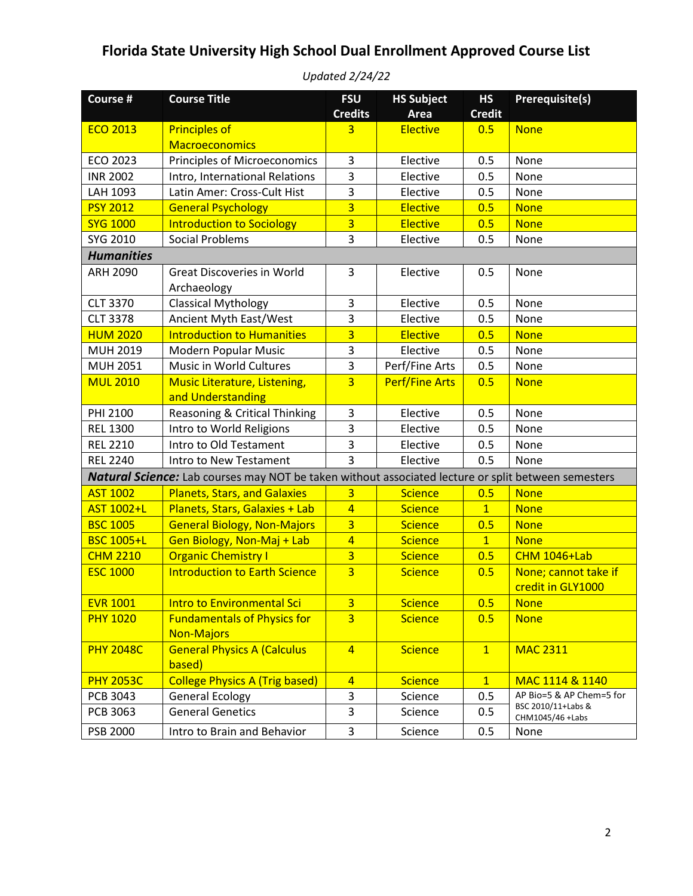| Course #          | <b>Course Title</b>                                                                                 | <b>FSU</b><br><b>Credits</b> | <b>HS Subject</b><br>Area | <b>HS</b><br><b>Credit</b> | <b>Prerequisite(s)</b>                    |
|-------------------|-----------------------------------------------------------------------------------------------------|------------------------------|---------------------------|----------------------------|-------------------------------------------|
| <b>ECO 2013</b>   | <b>Principles of</b>                                                                                | 3                            | <b>Elective</b>           | 0.5                        | <b>None</b>                               |
|                   | <b>Macroeconomics</b>                                                                               |                              |                           |                            |                                           |
| <b>ECO 2023</b>   | Principles of Microeconomics                                                                        | 3                            | Elective                  | 0.5                        | None                                      |
| <b>INR 2002</b>   | Intro, International Relations                                                                      | 3                            | Elective                  | 0.5                        | None                                      |
| LAH 1093          | Latin Amer: Cross-Cult Hist                                                                         | 3                            | Elective                  | 0.5                        | None                                      |
| <b>PSY 2012</b>   | <b>General Psychology</b>                                                                           | $\overline{\mathbf{3}}$      | <b>Elective</b>           | 0.5                        | <b>None</b>                               |
| <b>SYG 1000</b>   | <b>Introduction to Sociology</b>                                                                    | $\overline{\mathbf{3}}$      | <b>Elective</b>           | 0.5                        | <b>None</b>                               |
| SYG 2010          | <b>Social Problems</b>                                                                              | 3                            | Elective                  | 0.5                        | None                                      |
| <b>Humanities</b> |                                                                                                     |                              |                           |                            |                                           |
| <b>ARH 2090</b>   | <b>Great Discoveries in World</b><br>Archaeology                                                    | 3                            | Elective                  | 0.5                        | None                                      |
| <b>CLT 3370</b>   | <b>Classical Mythology</b>                                                                          | 3                            | Elective                  | 0.5                        | None                                      |
| <b>CLT 3378</b>   | Ancient Myth East/West                                                                              | 3                            | Elective                  | 0.5                        | None                                      |
| <b>HUM 2020</b>   | <b>Introduction to Humanities</b>                                                                   | $\overline{\mathbf{3}}$      | <b>Elective</b>           | 0.5                        | <b>None</b>                               |
| MUH 2019          | Modern Popular Music                                                                                | 3                            | Elective                  | 0.5                        | None                                      |
| <b>MUH 2051</b>   | Music in World Cultures                                                                             | 3                            | Perf/Fine Arts            | 0.5                        | None                                      |
| <b>MUL 2010</b>   | <b>Music Literature, Listening,</b>                                                                 | $\overline{3}$               | <b>Perf/Fine Arts</b>     | 0.5                        | <b>None</b>                               |
|                   | and Understanding                                                                                   |                              |                           |                            |                                           |
| PHI 2100          | Reasoning & Critical Thinking                                                                       | 3                            | Elective                  | 0.5                        | None                                      |
| <b>REL 1300</b>   | Intro to World Religions                                                                            | 3                            | Elective                  | 0.5                        | None                                      |
| <b>REL 2210</b>   | Intro to Old Testament                                                                              | 3                            | Elective                  | 0.5                        | None                                      |
| <b>REL 2240</b>   | Intro to New Testament                                                                              | 3                            | Elective                  | 0.5                        | None                                      |
|                   | Natural Science: Lab courses may NOT be taken without associated lecture or split between semesters |                              |                           |                            |                                           |
| <b>AST 1002</b>   | <b>Planets, Stars, and Galaxies</b>                                                                 | $\overline{3}$               | <b>Science</b>            | 0.5                        | <b>None</b>                               |
| <b>AST 1002+L</b> | Planets, Stars, Galaxies + Lab                                                                      | $\overline{4}$               | <b>Science</b>            | $\overline{1}$             | <b>None</b>                               |
| <b>BSC 1005</b>   | <b>General Biology, Non-Majors</b>                                                                  | $\overline{3}$               | <b>Science</b>            | 0.5                        | <b>None</b>                               |
| <b>BSC 1005+L</b> | Gen Biology, Non-Maj + Lab                                                                          | $\overline{4}$               | <b>Science</b>            | $\overline{1}$             | <b>None</b>                               |
| <b>CHM 2210</b>   | <b>Organic Chemistry I</b>                                                                          | $\overline{3}$               | <b>Science</b>            | 0.5                        | <b>CHM 1046+Lab</b>                       |
| <b>ESC 1000</b>   | <b>Introduction to Earth Science</b>                                                                | $\overline{3}$               | <b>Science</b>            | 0.5                        | None; cannot take if<br>credit in GLY1000 |
| <b>EVR 1001</b>   | <b>Intro to Environmental Sci</b>                                                                   | $\overline{3}$               | <b>Science</b>            | 0.5                        | <b>None</b>                               |
| <b>PHY 1020</b>   | <b>Fundamentals of Physics for</b><br><b>Non-Majors</b>                                             | $\overline{3}$               | <b>Science</b>            | 0.5                        | <b>None</b>                               |
| <b>PHY 2048C</b>  | <b>General Physics A (Calculus</b><br>based)                                                        | $\overline{4}$               | <b>Science</b>            | $\overline{1}$             | <b>MAC 2311</b>                           |
| <b>PHY 2053C</b>  | <b>College Physics A (Trig based)</b>                                                               | $\overline{4}$               | <b>Science</b>            | $\mathbf{1}$               | MAC 1114 & 1140                           |
| PCB 3043          | <b>General Ecology</b>                                                                              | 3                            | Science                   | 0.5                        | AP Bio=5 & AP Chem=5 for                  |
| PCB 3063          | <b>General Genetics</b>                                                                             | 3                            | Science                   | 0.5                        | BSC 2010/11+Labs &<br>CHM1045/46 +Labs    |
| PSB 2000          | Intro to Brain and Behavior                                                                         | 3                            | Science                   | 0.5                        | None                                      |

*Updated 2/24/22*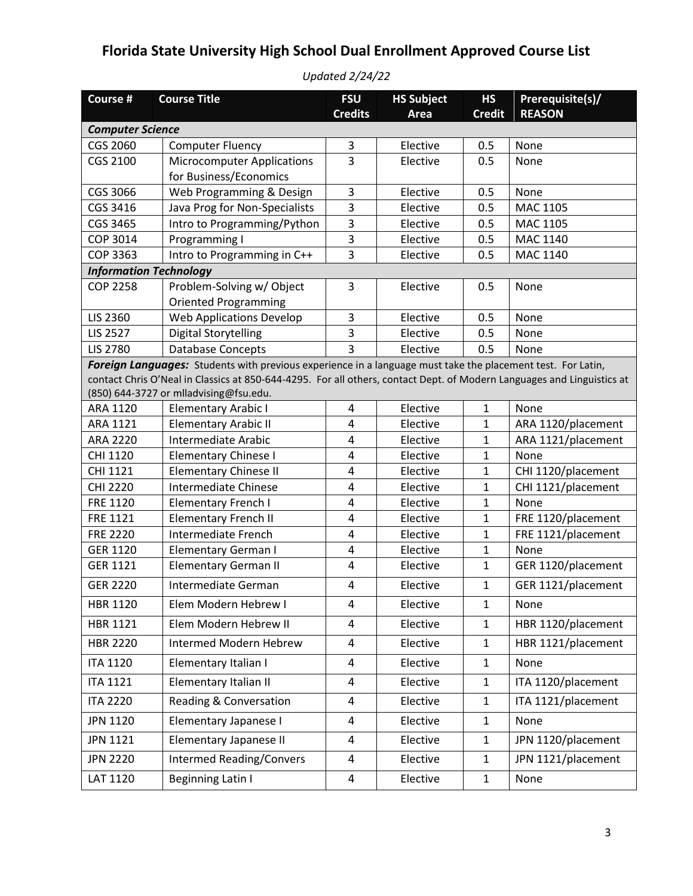| Course #                      | <b>Course Title</b>                                                                                                    | <b>FSU</b><br><b>Credits</b> | <b>HS Subject</b>    | <b>HS</b><br><b>Credit</b> | Prerequisite(s)/           |
|-------------------------------|------------------------------------------------------------------------------------------------------------------------|------------------------------|----------------------|----------------------------|----------------------------|
| <b>Computer Science</b>       |                                                                                                                        |                              | Area                 |                            | <b>REASON</b>              |
| CGS 2060                      | <b>Computer Fluency</b>                                                                                                | 3                            | Elective             | 0.5                        | None                       |
| CGS 2100                      | <b>Microcomputer Applications</b>                                                                                      | 3                            | Elective             | 0.5                        | None                       |
|                               | for Business/Economics                                                                                                 |                              |                      |                            |                            |
| CGS 3066                      | Web Programming & Design                                                                                               | 3                            | Elective             | 0.5                        | None                       |
| CGS 3416                      | Java Prog for Non-Specialists                                                                                          | 3                            | Elective             | 0.5                        | MAC 1105                   |
| CGS 3465                      | Intro to Programming/Python                                                                                            | 3                            | Elective             | 0.5                        | MAC 1105                   |
| COP 3014                      | Programming I                                                                                                          | 3                            | Elective             | 0.5                        | MAC 1140                   |
| <b>COP 3363</b>               | Intro to Programming in C++                                                                                            | 3                            | Elective             | 0.5                        | MAC 1140                   |
| <b>Information Technology</b> |                                                                                                                        |                              |                      |                            |                            |
| <b>COP 2258</b>               | Problem-Solving w/ Object                                                                                              | 3                            | Elective             | 0.5                        | None                       |
|                               | <b>Oriented Programming</b>                                                                                            |                              |                      |                            |                            |
| LIS 2360                      | <b>Web Applications Develop</b>                                                                                        | 3                            | Elective             | 0.5                        | None                       |
| <b>LIS 2527</b>               | <b>Digital Storytelling</b>                                                                                            | 3                            | Elective             | 0.5                        | None                       |
| <b>LIS 2780</b>               | <b>Database Concepts</b>                                                                                               | 3                            | Elective             | 0.5                        | None                       |
|                               | Foreign Languages: Students with previous experience in a language must take the placement test. For Latin,            |                              |                      |                            |                            |
|                               | contact Chris O'Neal in Classics at 850-644-4295. For all others, contact Dept. of Modern Languages and Linguistics at |                              |                      |                            |                            |
|                               | (850) 644-3727 or mlladvising@fsu.edu.                                                                                 |                              |                      |                            |                            |
| ARA 1120                      | <b>Elementary Arabic I</b>                                                                                             | 4                            | Elective             | $\mathbf{1}$               | None                       |
| ARA 1121<br>ARA 2220          | <b>Elementary Arabic II</b><br>Intermediate Arabic                                                                     | 4<br>4                       | Elective<br>Elective | 1<br>$\mathbf 1$           | ARA 1120/placement         |
| CHI 1120                      |                                                                                                                        | 4                            | Elective             | 1                          | ARA 1121/placement<br>None |
| CHI 1121                      | <b>Elementary Chinese I</b><br><b>Elementary Chinese II</b>                                                            | 4                            | Elective             | 1                          | CHI 1120/placement         |
| CHI 2220                      | Intermediate Chinese                                                                                                   | $\overline{4}$               | Elective             | $\overline{1}$             | CHI 1121/placement         |
| FRE 1120                      | <b>Elementary French I</b>                                                                                             | 4                            | Elective             | 1                          | None                       |
| FRE 1121                      | <b>Elementary French II</b>                                                                                            | 4                            | Elective             | $\mathbf 1$                | FRE 1120/placement         |
| <b>FRE 2220</b>               | <b>Intermediate French</b>                                                                                             | $\overline{\mathbf{4}}$      | Elective             | $\mathbf{1}$               | FRE 1121/placement         |
| <b>GER 1120</b>               | <b>Elementary German I</b>                                                                                             | 4                            | Elective             | 1                          | None                       |
| GER 1121                      | <b>Elementary German II</b>                                                                                            | 4                            | Elective             | 1                          | GER 1120/placement         |
| <b>GER 2220</b>               | Intermediate German                                                                                                    | 4                            | Elective             | $\mathbf{1}$               | GER 1121/placement         |
| HBR 1120                      | Elem Modern Hebrew I                                                                                                   | 4                            | Elective             | 1                          | None                       |
| HBR 1121                      | Elem Modern Hebrew II                                                                                                  | 4                            | Elective             | $\mathbf{1}$               | HBR 1120/placement         |
| <b>HBR 2220</b>               | Intermed Modern Hebrew                                                                                                 | 4                            | Elective             | $\mathbf{1}$               | HBR 1121/placement         |
| <b>ITA 1120</b>               | Elementary Italian I                                                                                                   | 4                            | Elective             | $\mathbf{1}$               | None                       |
| <b>ITA 1121</b>               | Elementary Italian II                                                                                                  | 4                            | Elective             | $\mathbf{1}$               | ITA 1120/placement         |
| <b>ITA 2220</b>               | Reading & Conversation                                                                                                 | 4                            | Elective             | $\mathbf{1}$               | ITA 1121/placement         |
| <b>JPN 1120</b>               | Elementary Japanese I                                                                                                  | 4                            | Elective             | $\mathbf{1}$               | None                       |
| JPN 1121                      | Elementary Japanese II                                                                                                 | 4                            | Elective             | $\mathbf{1}$               | JPN 1120/placement         |
| <b>JPN 2220</b>               | <b>Intermed Reading/Convers</b>                                                                                        | 4                            | Elective             | $\mathbf{1}$               | JPN 1121/placement         |
| LAT 1120                      | <b>Beginning Latin I</b>                                                                                               | 4                            | Elective             | $\mathbf{1}$               | None                       |

*Updated 2/24/22*